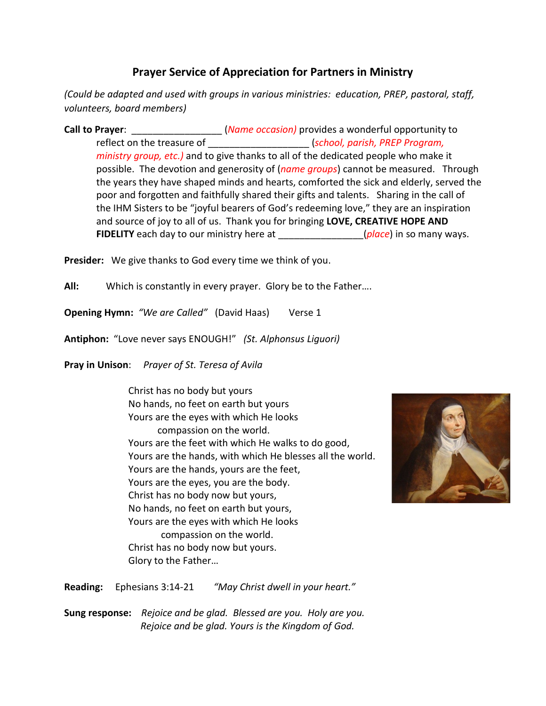## **Prayer Service of Appreciation for Partners in Ministry**

*(Could be adapted and used with groups in various ministries: education, PREP, pastoral, staff, volunteers, board members)*

**Call to Prayer: Call to Prayer**: *Call to Prayer***:** *Call to Prayer***:** *Call to Prayer***:** *Call to Prayer***:** *Call to Prayer***:** *Call to Prayer***:** *Call to Prayer***:** *Call to Prayer***:** *Call to Prayer***:** *Call to Prayer***:** reflect on the treasure of \_\_\_\_\_\_\_\_\_\_\_\_\_\_\_\_\_\_\_ (*school, parish, PREP Program, ministry group, etc.)* and to give thanks to all of the dedicated people who make it possible. The devotion and generosity of (*name groups*) cannot be measured. Through the years they have shaped minds and hearts, comforted the sick and elderly, served the poor and forgotten and faithfully shared their gifts and talents. Sharing in the call of the IHM Sisters to be "joyful bearers of God's redeeming love," they are an inspiration and source of joy to all of us. Thank you for bringing **LOVE, CREATIVE HOPE AND FIDELITY** each day to our ministry here at  $\qquad \qquad$  (*place*) in so many ways.

**Presider:** We give thanks to God every time we think of you.

**All:** Which is constantly in every prayer. Glory be to the Father….

**Opening Hymn:** "We are Called" (David Haas) Verse 1

**Antiphon:** "Love never says ENOUGH!" *(St. Alphonsus Liguori)*

**Pray in Unison**: *Prayer of St. Teresa of Avila*

Christ has no body but yours No hands, no feet on earth but yours Yours are the eyes with which He looks compassion on the world. Yours are the feet with which He walks to do good, Yours are the hands, with which He blesses all the world. Yours are the hands, yours are the feet, Yours are the eyes, you are the body. Christ has no body now but yours, No hands, no feet on earth but yours, Yours are the eyes with which He looks compassion on the world. Christ has no body now but yours.



**Reading:** Ephesians 3:14-21 *"May Christ dwell in your heart."*

Glory to the Father…

**Sung response:** *Rejoice and be glad. Blessed are you. Holy are you. Rejoice and be glad. Yours is the Kingdom of God.*